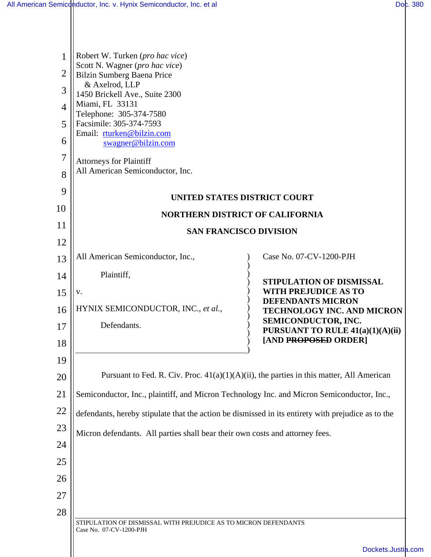$\mathsf{I}$ 

| 1              | Robert W. Turken (pro hac vice)                                                                    |                                                                                             |  |  |  |
|----------------|----------------------------------------------------------------------------------------------------|---------------------------------------------------------------------------------------------|--|--|--|
| 2              | Scott N. Wagner (pro hac vice)<br><b>Bilzin Sumberg Baena Price</b>                                |                                                                                             |  |  |  |
| 3              | & Axelrod, LLP<br>1450 Brickell Ave., Suite 2300<br>Miami, FL 33131                                |                                                                                             |  |  |  |
| $\overline{4}$ |                                                                                                    |                                                                                             |  |  |  |
| 5              | Telephone: 305-374-7580<br>Facsimile: 305-374-7593                                                 |                                                                                             |  |  |  |
| 6              | Email: rturken@bilzin.com<br>swagner@bilzin.com                                                    |                                                                                             |  |  |  |
| 7              | <b>Attorneys for Plaintiff</b>                                                                     |                                                                                             |  |  |  |
| 8              | All American Semiconductor, Inc.                                                                   |                                                                                             |  |  |  |
| 9              | <b>UNITED STATES DISTRICT COURT</b>                                                                |                                                                                             |  |  |  |
| 10             | <b>NORTHERN DISTRICT OF CALIFORNIA</b>                                                             |                                                                                             |  |  |  |
| 11             | <b>SAN FRANCISCO DIVISION</b>                                                                      |                                                                                             |  |  |  |
| 12             |                                                                                                    |                                                                                             |  |  |  |
| 13             | All American Semiconductor, Inc.,                                                                  | Case No. 07-CV-1200-PJH                                                                     |  |  |  |
| 14             | Plaintiff,                                                                                         | STIPULATION OF DISMISSAL                                                                    |  |  |  |
| 15             | V.                                                                                                 | <b>WITH PREJUDICE AS TO</b><br><b>DEFENDANTS MICRON</b>                                     |  |  |  |
| 16             | HYNIX SEMICONDUCTOR, INC., et al.,                                                                 | <b>TECHNOLOGY INC. AND MICRON</b>                                                           |  |  |  |
| 17             | Defendants.                                                                                        | SEMICONDUCTOR, INC.<br>PURSUANT TO RULE 41(a)(1)(A)(ii)                                     |  |  |  |
| 18             |                                                                                                    | [AND PROPOSED ORDER]                                                                        |  |  |  |
| 19             |                                                                                                    |                                                                                             |  |  |  |
| 20             |                                                                                                    | Pursuant to Fed. R. Civ. Proc. $41(a)(1)(A)(ii)$ , the parties in this matter, All American |  |  |  |
| 21             | Semiconductor, Inc., plaintiff, and Micron Technology Inc. and Micron Semiconductor, Inc.,         |                                                                                             |  |  |  |
| 22             | defendants, hereby stipulate that the action be dismissed in its entirety with prejudice as to the |                                                                                             |  |  |  |
| 23             | Micron defendants. All parties shall bear their own costs and attorney fees.                       |                                                                                             |  |  |  |
| 24             |                                                                                                    |                                                                                             |  |  |  |
| 25             |                                                                                                    |                                                                                             |  |  |  |
| 26             |                                                                                                    |                                                                                             |  |  |  |
| 27             |                                                                                                    |                                                                                             |  |  |  |
| 28             |                                                                                                    |                                                                                             |  |  |  |
|                | STIPULATION OF DISMISSAL WITH PREJUDICE AS TO MICRON DEFENDANTS<br>Case No. 07-CV-1200-PJH         |                                                                                             |  |  |  |
|                |                                                                                                    |                                                                                             |  |  |  |
|                |                                                                                                    | Dockets.Justia.com                                                                          |  |  |  |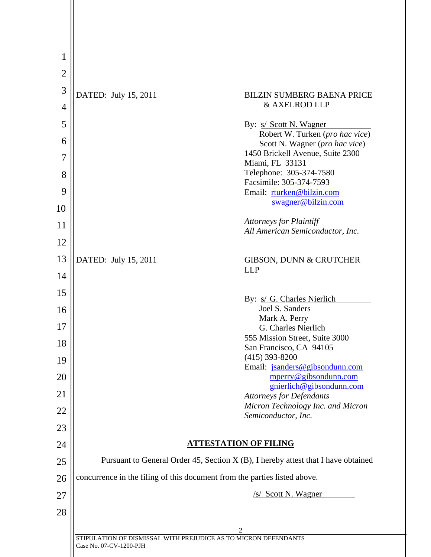| $\mathbf{1}$   |                                                                                            |  |
|----------------|--------------------------------------------------------------------------------------------|--|
| $\overline{2}$ |                                                                                            |  |
| 3              | DATED: July 15, 2011<br><b>BILZIN SUMBERG BAENA PRICE</b>                                  |  |
| $\overline{4}$ | & AXELROD LLP                                                                              |  |
| 5              | By: <u>s/ Scott N. Wagner</u>                                                              |  |
| 6              | Robert W. Turken (pro hac vice)<br>Scott N. Wagner (pro hac vice)                          |  |
| $\overline{7}$ | 1450 Brickell Avenue, Suite 2300                                                           |  |
| 8              | Miami, FL 33131<br>Telephone: 305-374-7580                                                 |  |
| 9              | Facsimile: 305-374-7593<br>Email: rturken@bilzin.com                                       |  |
| 10             | swagner@bilzin.com                                                                         |  |
| 11             | <b>Attorneys for Plaintiff</b>                                                             |  |
| 12             | All American Semiconductor, Inc.                                                           |  |
| 13             | DATED: July 15, 2011<br><b>GIBSON, DUNN &amp; CRUTCHER</b>                                 |  |
| 14             | <b>LLP</b>                                                                                 |  |
| 15             |                                                                                            |  |
| 16             | By: s/ G. Charles Nierlich<br>Joel S. Sanders                                              |  |
| 17             | Mark A. Perry<br>G. Charles Nierlich                                                       |  |
| 18             | 555 Mission Street, Suite 3000                                                             |  |
| 19             | San Francisco, CA 94105<br>$(415)$ 393-8200                                                |  |
| 20             | Email: jsanders@gibsondunn.com<br>mperry@gibsondunn.com                                    |  |
| 21             | gnierlich@gibsondunn.com<br><b>Attorneys for Defendants</b>                                |  |
| 22             | Micron Technology Inc. and Micron                                                          |  |
| 23             | Semiconductor, Inc.                                                                        |  |
| 24             | <b>ATTESTATION OF FILING</b>                                                               |  |
| 25             | Pursuant to General Order 45, Section $X(B)$ , I hereby attest that I have obtained        |  |
| 26             | concurrence in the filing of this document from the parties listed above.                  |  |
| 27             | /s/ Scott N. Wagner                                                                        |  |
| 28             |                                                                                            |  |
|                | 2                                                                                          |  |
|                | STIPULATION OF DISMISSAL WITH PREJUDICE AS TO MICRON DEFENDANTS<br>Case No. 07-CV-1200-PJH |  |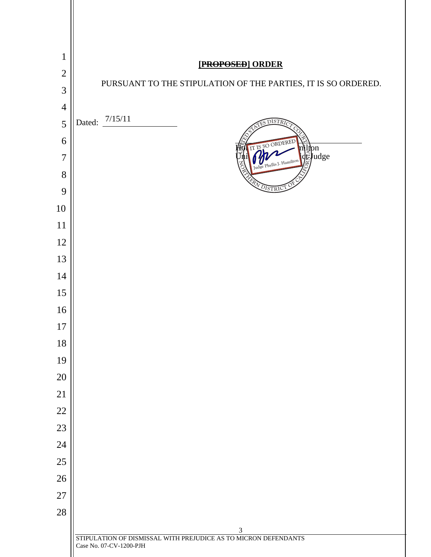| $\mathbf{1}$   |                                                                                            |
|----------------|--------------------------------------------------------------------------------------------|
| $\overline{2}$ | [PROPOSED] ORDER                                                                           |
| 3              | PURSUANT TO THE STIPULATION OF THE PARTIES, IT IS SO ORDERED.                              |
| $\overline{4}$ |                                                                                            |
| 5              | Dated: $\frac{7}{15/11}$<br><b>DISTR</b>                                                   |
| 6              | IT IS SO ORDERED                                                                           |
| $\overline{7}$ | milton<br> deJudge<br>Judge Phyllis J. Hamilton                                            |
| 8              |                                                                                            |
| 9              | DISTRI                                                                                     |
| 10             |                                                                                            |
| 11             |                                                                                            |
| 12             |                                                                                            |
| 13             |                                                                                            |
| 14             |                                                                                            |
| 15             |                                                                                            |
| 16             |                                                                                            |
| 17             |                                                                                            |
| 18             |                                                                                            |
| 19             |                                                                                            |
| $20\,$         |                                                                                            |
| 21<br>$22\,$   |                                                                                            |
| 23             |                                                                                            |
| 24             |                                                                                            |
| 25             |                                                                                            |
| 26             |                                                                                            |
| $27\,$         |                                                                                            |
| 28             |                                                                                            |
|                | 3                                                                                          |
|                | STIPULATION OF DISMISSAL WITH PREJUDICE AS TO MICRON DEFENDANTS<br>Case No. 07-CV-1200-PJH |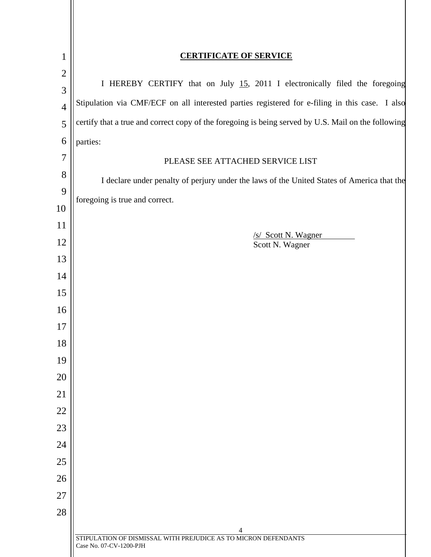| $\mathbf{1}$        | <b>CERTIFICATE OF SERVICE</b>                                                                       |  |
|---------------------|-----------------------------------------------------------------------------------------------------|--|
| $\mathbf{2}$        | I HEREBY CERTIFY that on July 15, 2011 I electronically filed the foregoing                         |  |
| 3                   | Stipulation via CMF/ECF on all interested parties registered for e-filing in this case. I also      |  |
| $\overline{4}$      | certify that a true and correct copy of the foregoing is being served by U.S. Mail on the following |  |
| 5                   |                                                                                                     |  |
| 6<br>$\overline{7}$ | parties:                                                                                            |  |
| $8\,$               | PLEASE SEE ATTACHED SERVICE LIST                                                                    |  |
| 9                   | I declare under penalty of perjury under the laws of the United States of America that the          |  |
| 10                  | foregoing is true and correct.                                                                      |  |
| 11                  |                                                                                                     |  |
| 12                  | /s/ Scott N. Wagner<br>Scott N. Wagner                                                              |  |
| 13                  |                                                                                                     |  |
| 14                  |                                                                                                     |  |
| 15                  |                                                                                                     |  |
| 16                  |                                                                                                     |  |
| 17                  |                                                                                                     |  |
| 18                  |                                                                                                     |  |
| 19                  |                                                                                                     |  |
| 20                  |                                                                                                     |  |
| 21                  |                                                                                                     |  |
| 22                  |                                                                                                     |  |
| 23                  |                                                                                                     |  |
| 24                  |                                                                                                     |  |
| 25                  |                                                                                                     |  |
| 26                  |                                                                                                     |  |
| 27                  |                                                                                                     |  |
| 28                  |                                                                                                     |  |
|                     | 4<br>STIPULATION OF DISMISSAL WITH PREJUDICE AS TO MICRON DEFENDANTS                                |  |
|                     | Case No. 07-CV-1200-PJH                                                                             |  |